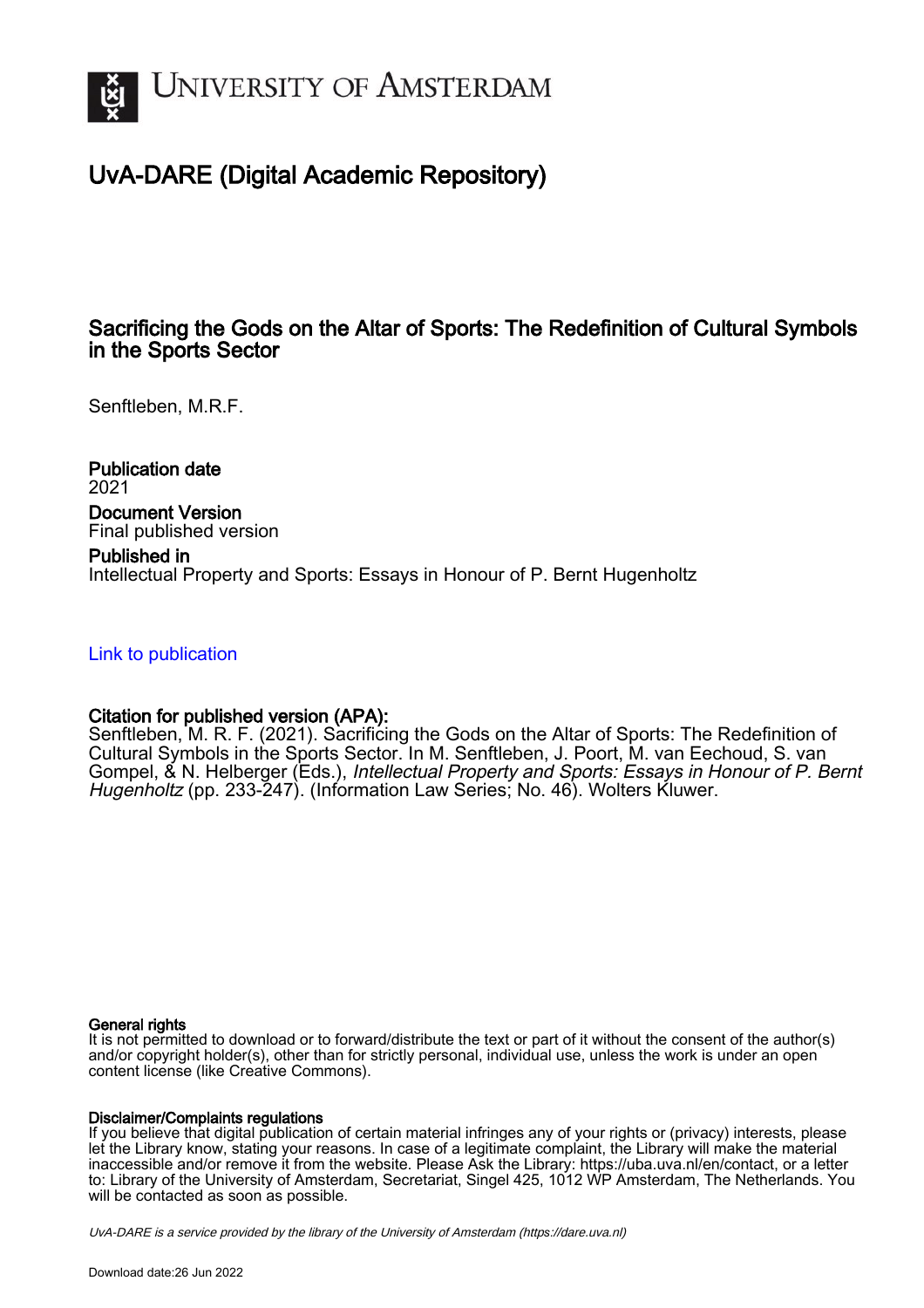

## UvA-DARE (Digital Academic Repository)

### Sacrificing the Gods on the Altar of Sports: The Redefinition of Cultural Symbols in the Sports Sector

Senftleben, M.R.F.

Publication date 2021 Document Version Final published version

Published in Intellectual Property and Sports: Essays in Honour of P. Bernt Hugenholtz

[Link to publication](https://dare.uva.nl/personal/pure/en/publications/sacrificing-the-gods-on-the-altar-of-sports-the-redefinition-of-cultural-symbols-in-the-sports-sector(40c5e8f6-f413-4583-8335-b9eeb8dc6f96).html)

### Citation for published version (APA):

Senftleben, M. R. F. (2021). Sacrificing the Gods on the Altar of Sports: The Redefinition of Cultural Symbols in the Sports Sector. In M. Senftleben, J. Poort, M. van Eechoud, S. van Gompel, & N. Helberger (Eds.), Intellectual Property and Sports: Essays in Honour of P. Bernt Hugenholtz (pp. 233-247). (Information Law Series; No. 46). Wolters Kluwer.

#### General rights

It is not permitted to download or to forward/distribute the text or part of it without the consent of the author(s) and/or copyright holder(s), other than for strictly personal, individual use, unless the work is under an open content license (like Creative Commons).

#### Disclaimer/Complaints regulations

If you believe that digital publication of certain material infringes any of your rights or (privacy) interests, please let the Library know, stating your reasons. In case of a legitimate complaint, the Library will make the material inaccessible and/or remove it from the website. Please Ask the Library: https://uba.uva.nl/en/contact, or a letter to: Library of the University of Amsterdam, Secretariat, Singel 425, 1012 WP Amsterdam, The Netherlands. You will be contacted as soon as possible.

UvA-DARE is a service provided by the library of the University of Amsterdam (http*s*://dare.uva.nl)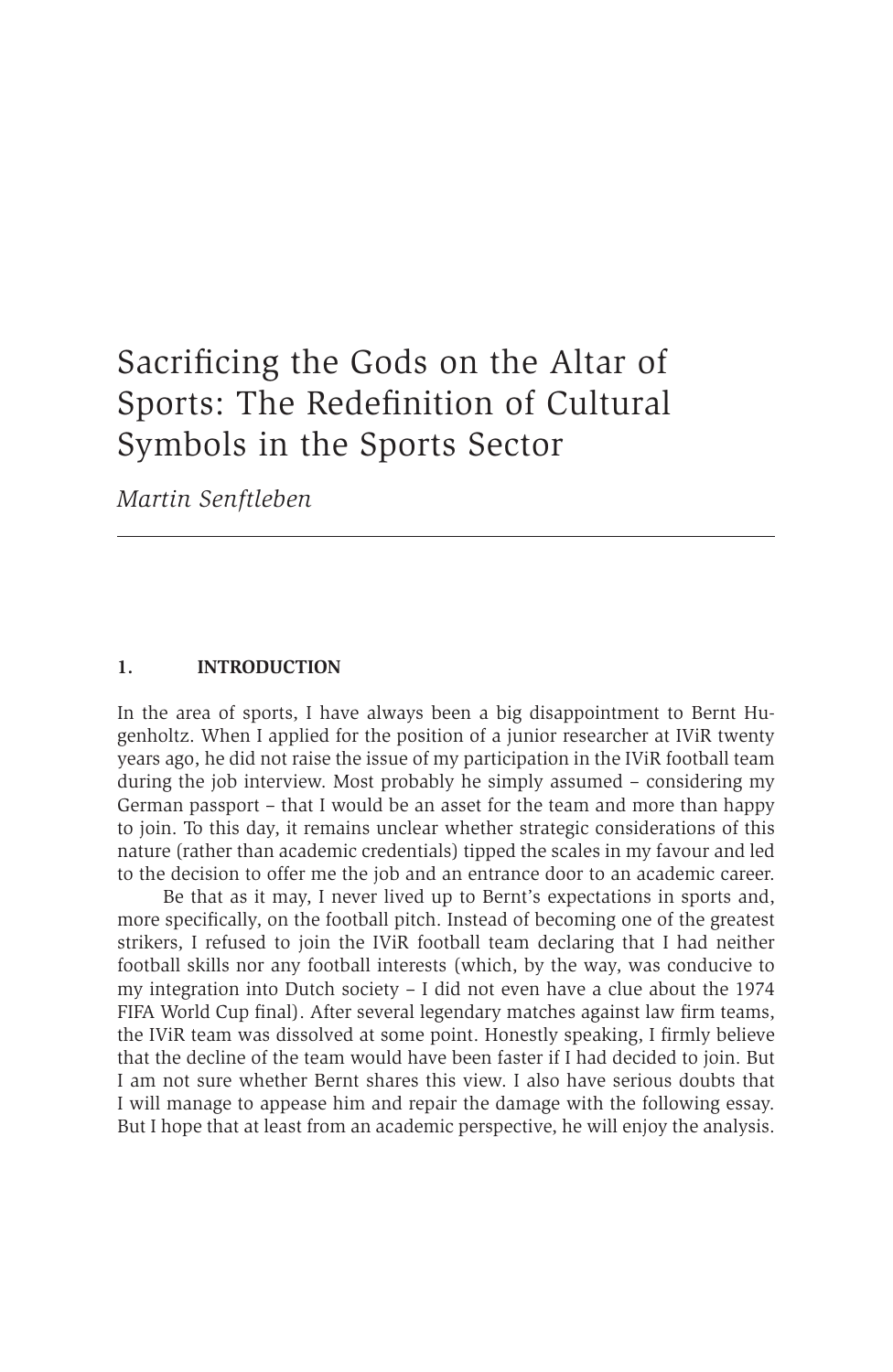# Sacrificing the Gods on the Altar of Sports: The Redefinition of Cultural Symbols in the Sports Sector

*Martin Senftleben*

#### **1. INTRODUCTION**

In the area of sports, I have always been a big disappointment to Bernt Hugenholtz. When I applied for the position of a junior researcher at IViR twenty years ago, he did not raise the issue of my participation in the IViR football team during the job interview. Most probably he simply assumed – considering my German passport – that I would be an asset for the team and more than happy to join. To this day, it remains unclear whether strategic considerations of this nature (rather than academic credentials) tipped the scales in my favour and led to the decision to offer me the job and an entrance door to an academic career.

Be that as it may, I never lived up to Bernt's expectations in sports and, more specifically, on the football pitch. Instead of becoming one of the greatest strikers, I refused to join the IViR football team declaring that I had neither football skills nor any football interests (which, by the way, was conducive to my integration into Dutch society – I did not even have a clue about the 1974 FIFA World Cup final). After several legendary matches against law firm teams, the IViR team was dissolved at some point. Honestly speaking, I firmly believe that the decline of the team would have been faster if I had decided to join. But I am not sure whether Bernt shares this view. I also have serious doubts that I will manage to appease him and repair the damage with the following essay. But I hope that at least from an academic perspective, he will enjoy the analysis.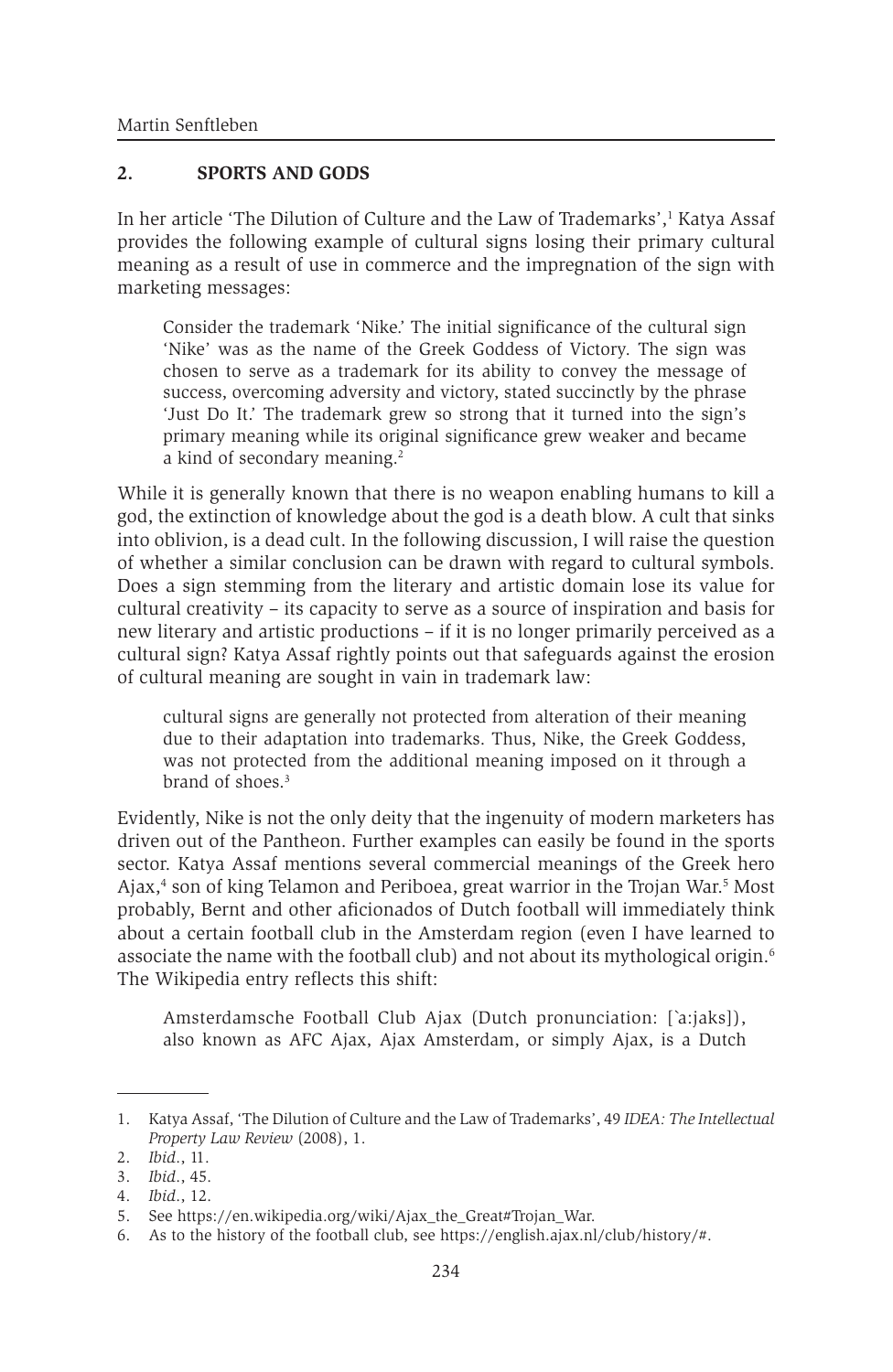#### **2. SPORTS AND GODS**

In her article 'The Dilution of Culture and the Law of Trademarks', Katya Assaf provides the following example of cultural signs losing their primary cultural meaning as a result of use in commerce and the impregnation of the sign with marketing messages:

Consider the trademark 'Nike.' The initial significance of the cultural sign 'Nike' was as the name of the Greek Goddess of Victory. The sign was chosen to serve as a trademark for its ability to convey the message of success, overcoming adversity and victory, stated succinctly by the phrase 'Just Do It.' The trademark grew so strong that it turned into the sign's primary meaning while its original significance grew weaker and became a kind of secondary meaning.<sup>2</sup>

While it is generally known that there is no weapon enabling humans to kill a god, the extinction of knowledge about the god is a death blow. A cult that sinks into oblivion, is a dead cult. In the following discussion, I will raise the question of whether a similar conclusion can be drawn with regard to cultural symbols. Does a sign stemming from the literary and artistic domain lose its value for cultural creativity – its capacity to serve as a source of inspiration and basis for new literary and artistic productions – if it is no longer primarily perceived as a cultural sign? Katya Assaf rightly points out that safeguards against the erosion of cultural meaning are sought in vain in trademark law:

cultural signs are generally not protected from alteration of their meaning due to their adaptation into trademarks. Thus, Nike, the Greek Goddess, was not protected from the additional meaning imposed on it through a brand of shoes.<sup>3</sup>

Evidently, Nike is not the only deity that the ingenuity of modern marketers has driven out of the Pantheon. Further examples can easily be found in the sports sector. Katya Assaf mentions several commercial meanings of the Greek hero Ajax,<sup>4</sup> son of king Telamon and Periboea, great warrior in the Trojan War.<sup>5</sup> Most probably, Bernt and other aficionados of Dutch football will immediately think about a certain football club in the Amsterdam region (even I have learned to associate the name with the football club) and not about its mythological origin.6 The Wikipedia entry reflects this shift:

Amsterdamsche Football Club Ajax (Dutch pronunciation: [`a:jaks]), also known as AFC Ajax, Ajax Amsterdam, or simply Ajax, is a Dutch

<sup>1.</sup> Katya Assaf, 'The Dilution of Culture and the Law of Trademarks', 49 *IDEA: The Intellectual Property Law Review* (2008), 1.

<sup>2.</sup> *Ibid*., 11.

<sup>3.</sup> *Ibid*., 45.

<sup>4.</sup> *Ibid*., 12.

<sup>5.</sup> See https://en.wikipedia.org/wiki/Ajax\_the\_Great#Trojan\_War.

<sup>6.</sup> As to the history of the football club, see https://english.ajax.nl/club/history/#.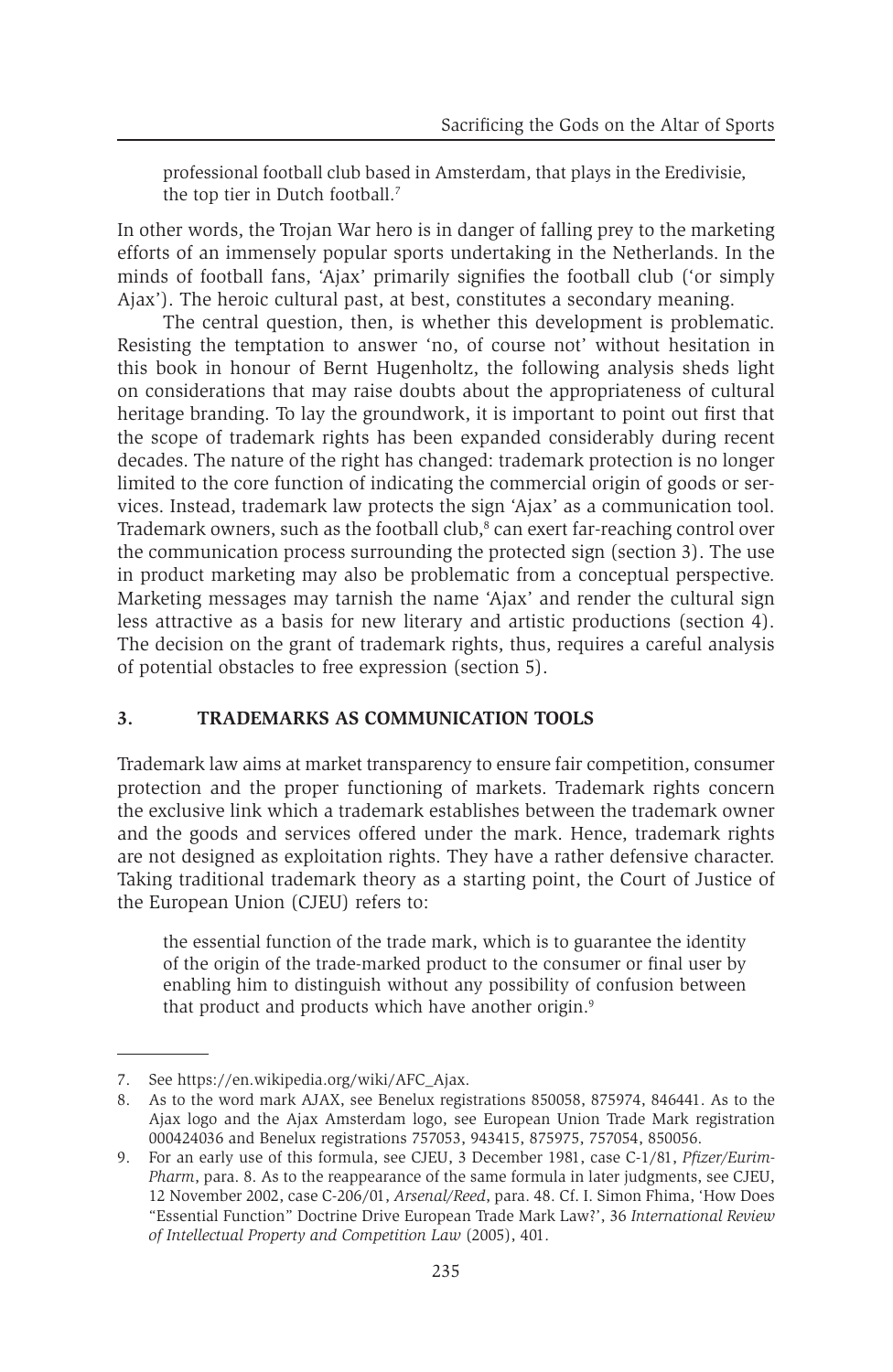professional football club based in Amsterdam, that plays in the Eredivisie, the top tier in Dutch football.<sup>7</sup>

In other words, the Trojan War hero is in danger of falling prey to the marketing efforts of an immensely popular sports undertaking in the Netherlands. In the minds of football fans, 'Ajax' primarily signifies the football club ('or simply Ajax'). The heroic cultural past, at best, constitutes a secondary meaning.

The central question, then, is whether this development is problematic. Resisting the temptation to answer 'no, of course not' without hesitation in this book in honour of Bernt Hugenholtz, the following analysis sheds light on considerations that may raise doubts about the appropriateness of cultural heritage branding. To lay the groundwork, it is important to point out first that the scope of trademark rights has been expanded considerably during recent decades. The nature of the right has changed: trademark protection is no longer limited to the core function of indicating the commercial origin of goods or services. Instead, trademark law protects the sign 'Ajax' as a communication tool. Trademark owners, such as the football club,<sup>8</sup> can exert far-reaching control over the communication process surrounding the protected sign (section 3). The use in product marketing may also be problematic from a conceptual perspective. Marketing messages may tarnish the name 'Ajax' and render the cultural sign less attractive as a basis for new literary and artistic productions (section 4). The decision on the grant of trademark rights, thus, requires a careful analysis of potential obstacles to free expression (section 5).

#### **3. TRADEMARKS AS COMMUNICATION TOOLS**

Trademark law aims at market transparency to ensure fair competition, consumer protection and the proper functioning of markets. Trademark rights concern the exclusive link which a trademark establishes between the trademark owner and the goods and services offered under the mark. Hence, trademark rights are not designed as exploitation rights. They have a rather defensive character. Taking traditional trademark theory as a starting point, the Court of Justice of the European Union (CJEU) refers to:

the essential function of the trade mark, which is to guarantee the identity of the origin of the trade-marked product to the consumer or final user by enabling him to distinguish without any possibility of confusion between that product and products which have another origin.<sup>9</sup>

<sup>7.</sup> See https://en.wikipedia.org/wiki/AFC\_Ajax.

<sup>8.</sup> As to the word mark AJAX, see Benelux registrations 850058, 875974, 846441. As to the Ajax logo and the Ajax Amsterdam logo, see European Union Trade Mark registration 000424036 and Benelux registrations 757053, 943415, 875975, 757054, 850056.

<sup>9.</sup> For an early use of this formula, see CJEU, 3 December 1981, case C-1/81, *Pfizer/Eurim-Pharm*, para. 8. As to the reappearance of the same formula in later judgments, see CJEU, 12 November 2002, case C-206/01, *Arsenal/Reed*, para. 48. Cf. I. Simon Fhima, 'How Does "Essential Function" Doctrine Drive European Trade Mark Law?', 36 *International Review of Intellectual Property and Competition Law* (2005), 401.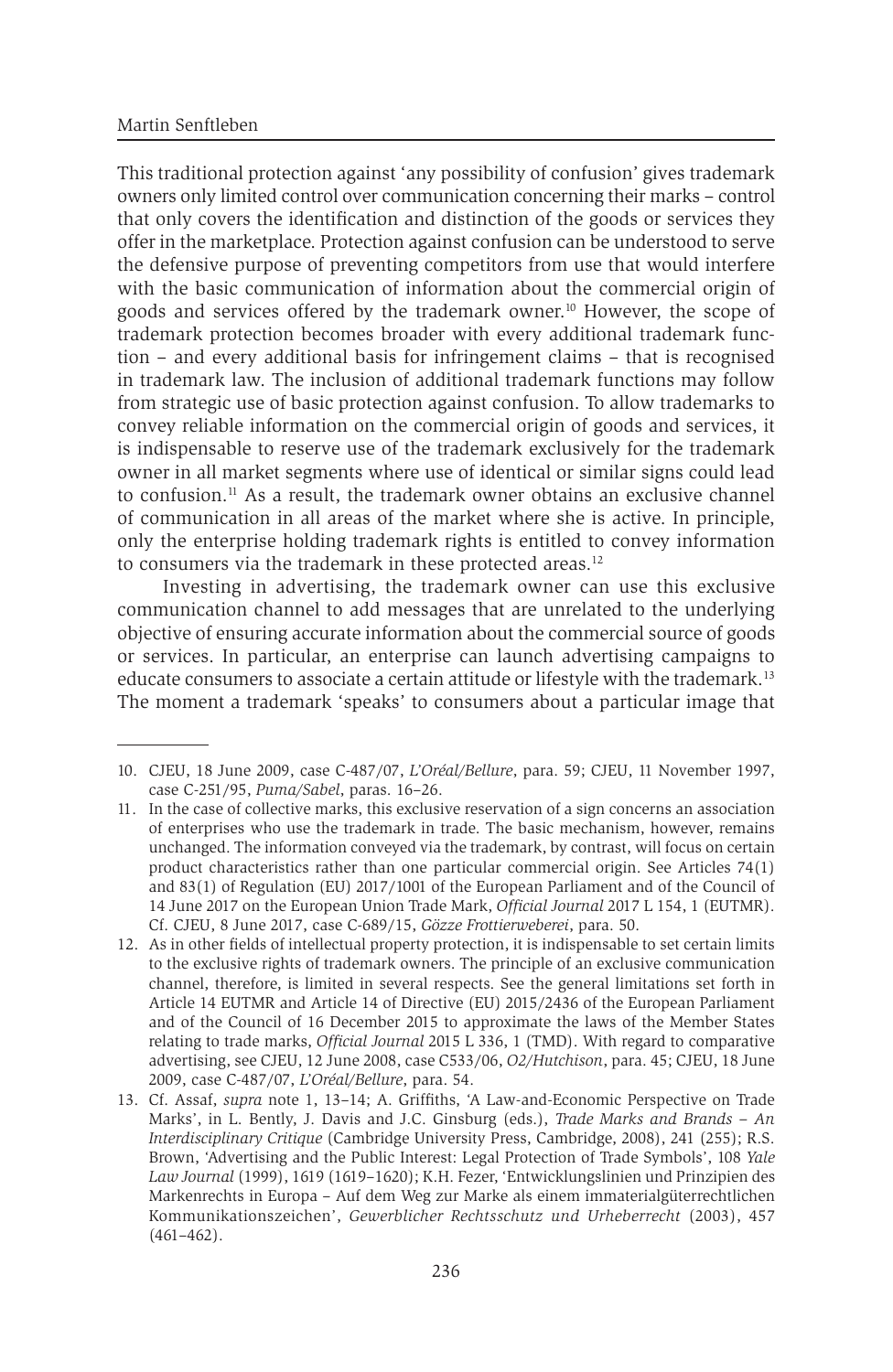This traditional protection against 'any possibility of confusion' gives trademark owners only limited control over communication concerning their marks – control that only covers the identification and distinction of the goods or services they offer in the marketplace. Protection against confusion can be understood to serve the defensive purpose of preventing competitors from use that would interfere with the basic communication of information about the commercial origin of goods and services offered by the trademark owner.10 However, the scope of trademark protection becomes broader with every additional trademark function – and every additional basis for infringement claims – that is recognised in trademark law. The inclusion of additional trademark functions may follow from strategic use of basic protection against confusion. To allow trademarks to convey reliable information on the commercial origin of goods and services, it is indispensable to reserve use of the trademark exclusively for the trademark owner in all market segments where use of identical or similar signs could lead to confusion.11 As a result, the trademark owner obtains an exclusive channel of communication in all areas of the market where she is active. In principle, only the enterprise holding trademark rights is entitled to convey information to consumers via the trademark in these protected areas.<sup>12</sup>

Investing in advertising, the trademark owner can use this exclusive communication channel to add messages that are unrelated to the underlying objective of ensuring accurate information about the commercial source of goods or services. In particular, an enterprise can launch advertising campaigns to educate consumers to associate a certain attitude or lifestyle with the trademark.13 The moment a trademark 'speaks' to consumers about a particular image that

<sup>10.</sup> CJEU, 18 June 2009, case C-487/07, *L'Oréal/Bellure*, para. 59; CJEU, 11 November 1997, case C-251/95, *Puma/Sabel*, paras. 16–26.

<sup>11.</sup> In the case of collective marks, this exclusive reservation of a sign concerns an association of enterprises who use the trademark in trade. The basic mechanism, however, remains unchanged. The information conveyed via the trademark, by contrast, will focus on certain product characteristics rather than one particular commercial origin. See Articles 74(1) and 83(1) of Regulation (EU) 2017/1001 of the European Parliament and of the Council of 14 June 2017 on the European Union Trade Mark, *Official Journal* 2017 L 154, 1 (EUTMR). Cf. CJEU, 8 June 2017, case C-689/15, *Gözze Frottierweberei*, para. 50.

<sup>12.</sup> As in other fields of intellectual property protection, it is indispensable to set certain limits to the exclusive rights of trademark owners. The principle of an exclusive communication channel, therefore, is limited in several respects. See the general limitations set forth in Article 14 EUTMR and Article 14 of Directive (EU) 2015/2436 of the European Parliament and of the Council of 16 December 2015 to approximate the laws of the Member States relating to trade marks, *Official Journal* 2015 L 336, 1 (TMD). With regard to comparative advertising, see CJEU, 12 June 2008, case C533/06, *O2/Hutchison*, para. 45; CJEU, 18 June 2009, case C-487/07, *L'Oréal/Bellure*, para. 54.

<sup>13.</sup> Cf. Assaf, *supra* note 1, 13–14; A. Griffiths, 'A Law-and-Economic Perspective on Trade Marks', in L. Bently, J. Davis and J.C. Ginsburg (eds.), *Trade Marks and Brands – An Interdisciplinary Critique* (Cambridge University Press, Cambridge, 2008), 241 (255); R.S. Brown, 'Advertising and the Public Interest: Legal Protection of Trade Symbols', 108 *Yale Law Journal* (1999), 1619 (1619–1620); K.H. Fezer, 'Entwicklungslinien und Prinzipien des Markenrechts in Europa – Auf dem Weg zur Marke als einem immaterialgüterrechtlichen Kommunikationszeichen', *Gewerblicher Rechtsschutz und Urheberrecht* (2003), 457 (461–462).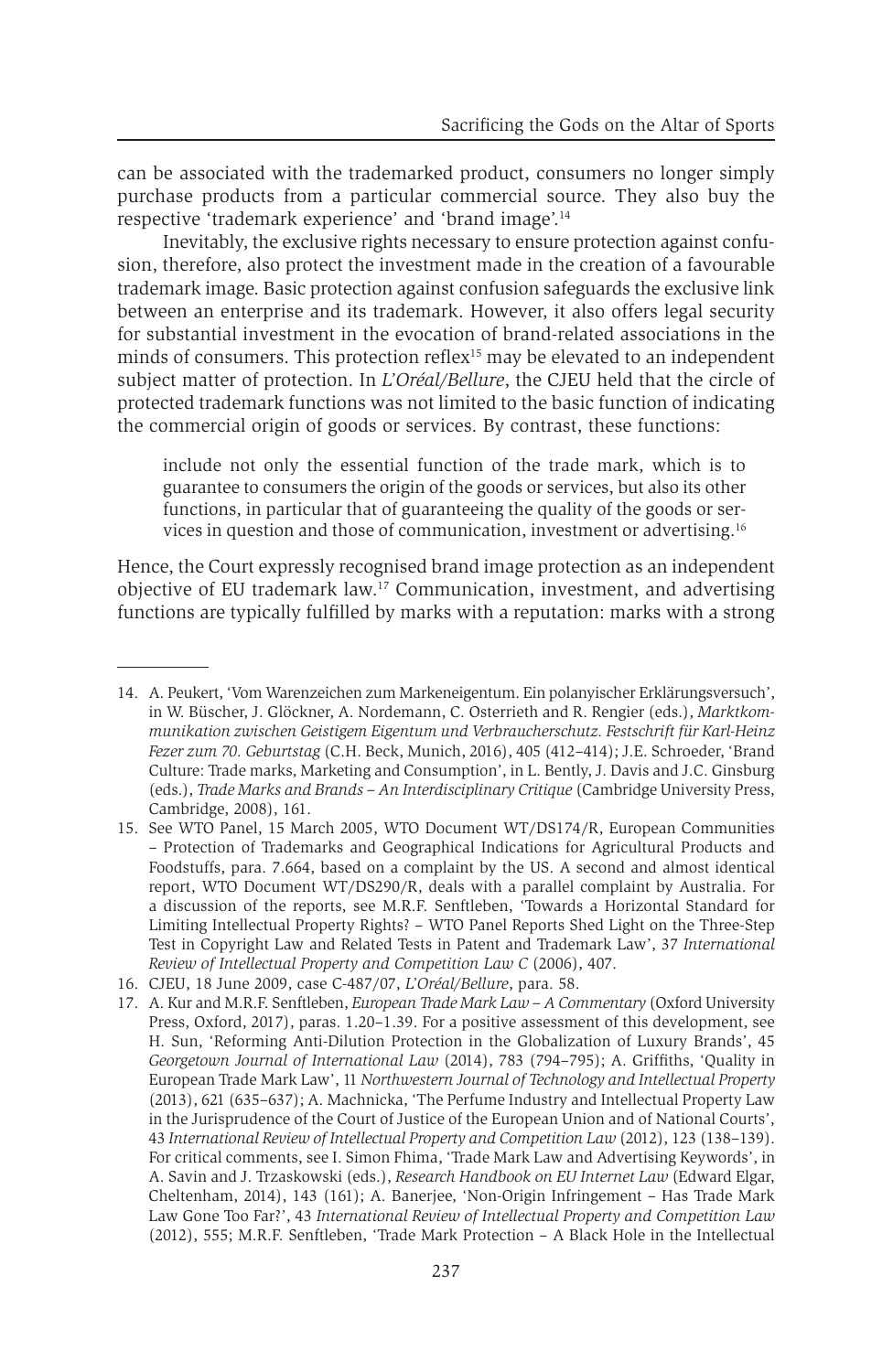can be associated with the trademarked product, consumers no longer simply purchase products from a particular commercial source. They also buy the respective 'trademark experience' and 'brand image'.14

Inevitably, the exclusive rights necessary to ensure protection against confusion, therefore, also protect the investment made in the creation of a favourable trademark image. Basic protection against confusion safeguards the exclusive link between an enterprise and its trademark. However, it also offers legal security for substantial investment in the evocation of brand-related associations in the minds of consumers. This protection reflex<sup>15</sup> may be elevated to an independent subject matter of protection. In *L'Oréal/Bellure*, the CJEU held that the circle of protected trademark functions was not limited to the basic function of indicating the commercial origin of goods or services. By contrast, these functions:

include not only the essential function of the trade mark, which is to guarantee to consumers the origin of the goods or services, but also its other functions, in particular that of guaranteeing the quality of the goods or services in question and those of communication, investment or advertising.16

Hence, the Court expressly recognised brand image protection as an independent objective of EU trademark law.17 Communication, investment, and advertising functions are typically fulfilled by marks with a reputation: marks with a strong

<sup>14.</sup> A. Peukert, 'Vom Warenzeichen zum Markeneigentum. Ein polanyischer Erklärungsversuch', in W. Büscher, J. Glöckner, A. Nordemann, C. Osterrieth and R. Rengier (eds.), *Marktkommunikation zwischen Geistigem Eigentum und Verbraucherschutz. Festschrift für Karl-Heinz Fezer zum 70. Geburtstag* (C.H. Beck, Munich, 2016), 405 (412–414); J.E. Schroeder, 'Brand Culture: Trade marks, Marketing and Consumption', in L. Bently, J. Davis and J.C. Ginsburg (eds.), *Trade Marks and Brands – An Interdisciplinary Critique* (Cambridge University Press, Cambridge, 2008), 161.

<sup>15.</sup> See WTO Panel, 15 March 2005, WTO Document WT/DS174/R, European Communities – Protection of Trademarks and Geographical Indications for Agricultural Products and Foodstuffs, para. 7.664, based on a complaint by the US. A second and almost identical report, WTO Document WT/DS290/R, deals with a parallel complaint by Australia. For a discussion of the reports, see M.R.F. Senftleben, 'Towards a Horizontal Standard for Limiting Intellectual Property Rights? – WTO Panel Reports Shed Light on the Three-Step Test in Copyright Law and Related Tests in Patent and Trademark Law', 37 *International Review of Intellectual Property and Competition Law C* (2006), 407.

<sup>16.</sup> CJEU, 18 June 2009, case C-487/07, *L'Oréal/Bellure*, para. 58.

<sup>17.</sup> A. Kur and M.R.F. Senftleben, *European Trade Mark Law – A Commentary* (Oxford University Press, Oxford, 2017), paras. 1.20–1.39. For a positive assessment of this development, see H. Sun, 'Reforming Anti-Dilution Protection in the Globalization of Luxury Brands', 45 *Georgetown Journal of International Law* (2014), 783 (794–795); A. Griffiths, 'Quality in European Trade Mark Law', 11 *Northwestern Journal of Technology and Intellectual Property* (2013), 621 (635–637); A. Machnicka, 'The Perfume Industry and Intellectual Property Law in the Jurisprudence of the Court of Justice of the European Union and of National Courts', 43 *International Review of Intellectual Property and Competition Law* (2012), 123 (138–139). For critical comments, see I. Simon Fhima, 'Trade Mark Law and Advertising Keywords', in A. Savin and J. Trzaskowski (eds.), *Research Handbook on EU Internet Law* (Edward Elgar, Cheltenham, 2014), 143 (161); A. Banerjee, 'Non-Origin Infringement – Has Trade Mark Law Gone Too Far?', 43 *International Review of Intellectual Property and Competition Law* (2012), 555; M.R.F. Senftleben, 'Trade Mark Protection – A Black Hole in the Intellectual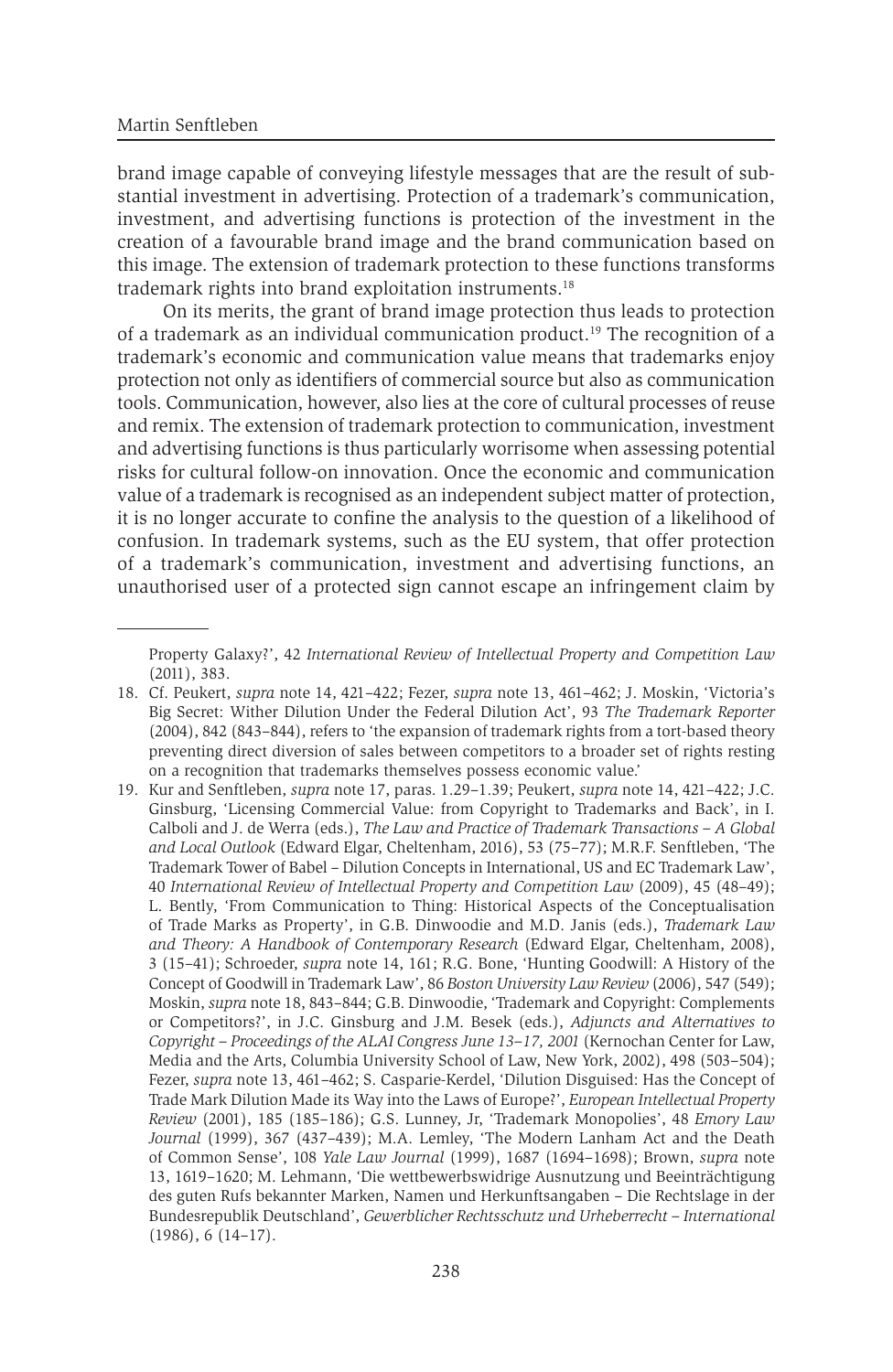brand image capable of conveying lifestyle messages that are the result of substantial investment in advertising. Protection of a trademark's communication, investment, and advertising functions is protection of the investment in the creation of a favourable brand image and the brand communication based on this image. The extension of trademark protection to these functions transforms trademark rights into brand exploitation instruments.18

On its merits, the grant of brand image protection thus leads to protection of a trademark as an individual communication product.<sup>19</sup> The recognition of a trademark's economic and communication value means that trademarks enjoy protection not only as identifiers of commercial source but also as communication tools. Communication, however, also lies at the core of cultural processes of reuse and remix. The extension of trademark protection to communication, investment and advertising functions is thus particularly worrisome when assessing potential risks for cultural follow-on innovation. Once the economic and communication value of a trademark is recognised as an independent subject matter of protection, it is no longer accurate to confine the analysis to the question of a likelihood of confusion. In trademark systems, such as the EU system, that offer protection of a trademark's communication, investment and advertising functions, an unauthorised user of a protected sign cannot escape an infringement claim by

Property Galaxy?', 42 *International Review of Intellectual Property and Competition Law* (2011), 383.

<sup>18.</sup> Cf. Peukert, *supra* note 14, 421–422; Fezer, *supra* note 13, 461–462; J. Moskin, 'Victoria's Big Secret: Wither Dilution Under the Federal Dilution Act', 93 *The Trademark Reporter* (2004), 842 (843–844), refers to 'the expansion of trademark rights from a tort-based theory preventing direct diversion of sales between competitors to a broader set of rights resting on a recognition that trademarks themselves possess economic value.'

<sup>19.</sup> Kur and Senftleben, *supra* note 17, paras. 1.29–1.39; Peukert, *supra* note 14, 421–422; J.C. Ginsburg, 'Licensing Commercial Value: from Copyright to Trademarks and Back', in I. Calboli and J. de Werra (eds.), *The Law and Practice of Trademark Transactions – A Global and Local Outlook* (Edward Elgar, Cheltenham, 2016), 53 (75–77); M.R.F. Senftleben, 'The Trademark Tower of Babel – Dilution Concepts in International, US and EC Trademark Law', 40 *International Review of Intellectual Property and Competition Law* (2009), 45 (48–49); L. Bently, 'From Communication to Thing: Historical Aspects of the Conceptualisation of Trade Marks as Property', in G.B. Dinwoodie and M.D. Janis (eds.), *Trademark Law and Theory: A Handbook of Contemporary Research* (Edward Elgar, Cheltenham, 2008), 3 (15–41); Schroeder, *supra* note 14, 161; R.G. Bone, 'Hunting Goodwill: A History of the Concept of Goodwill in Trademark Law', 86 *Boston University Law Review* (2006), 547 (549); Moskin, *supra* note 18, 843–844; G.B. Dinwoodie, 'Trademark and Copyright: Complements or Competitors?', in J.C. Ginsburg and J.M. Besek (eds.), *Adjuncts and Alternatives to Copyright – Proceedings of the ALAI Congress June 13–17, 2001* (Kernochan Center for Law, Media and the Arts, Columbia University School of Law, New York, 2002), 498 (503–504); Fezer, *supra* note 13, 461–462; S. Casparie-Kerdel, 'Dilution Disguised: Has the Concept of Trade Mark Dilution Made its Way into the Laws of Europe?', *European Intellectual Property Review* (2001), 185 (185–186); G.S. Lunney, Jr, 'Trademark Monopolies', 48 *Emory Law Journal* (1999), 367 (437–439); M.A. Lemley, 'The Modern Lanham Act and the Death of Common Sense', 108 *Yale Law Journal* (1999), 1687 (1694–1698); Brown, *supra* note 13, 1619–1620; M. Lehmann, 'Die wettbewerbswidrige Ausnutzung und Beeinträchtigung des guten Rufs bekannter Marken, Namen und Herkunftsangaben – Die Rechtslage in der Bundesrepublik Deutschland', *Gewerblicher Rechtsschutz und Urheberrecht – International* (1986), 6 (14–17).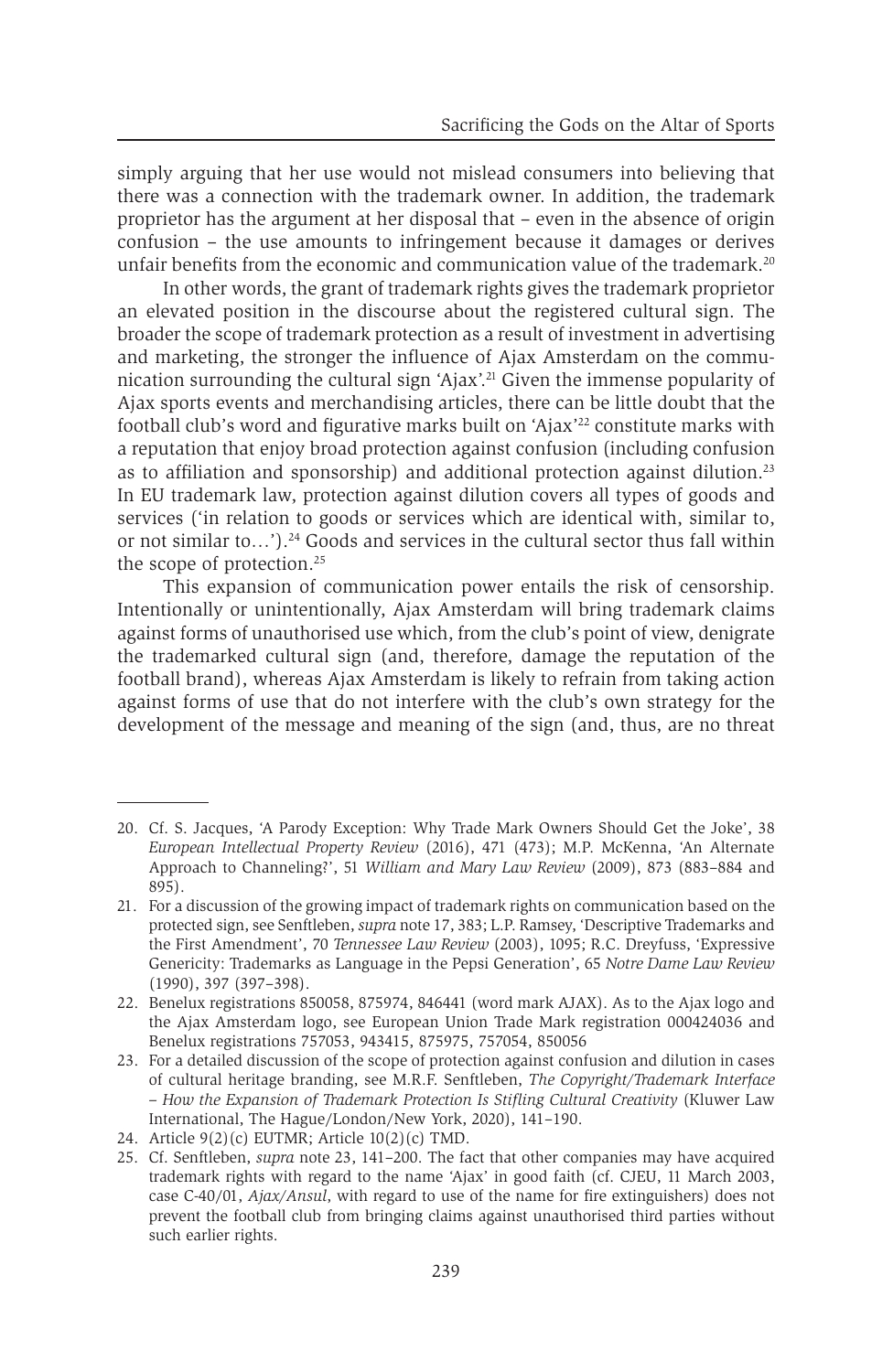simply arguing that her use would not mislead consumers into believing that there was a connection with the trademark owner. In addition, the trademark proprietor has the argument at her disposal that – even in the absence of origin confusion – the use amounts to infringement because it damages or derives unfair benefits from the economic and communication value of the trademark.<sup>20</sup>

In other words, the grant of trademark rights gives the trademark proprietor an elevated position in the discourse about the registered cultural sign. The broader the scope of trademark protection as a result of investment in advertising and marketing, the stronger the influence of Ajax Amsterdam on the communication surrounding the cultural sign 'Ajax'.21 Given the immense popularity of Ajax sports events and merchandising articles, there can be little doubt that the football club's word and figurative marks built on 'Ajax'<sup>22</sup> constitute marks with a reputation that enjoy broad protection against confusion (including confusion as to affiliation and sponsorship) and additional protection against dilution.23 In EU trademark law, protection against dilution covers all types of goods and services ('in relation to goods or services which are identical with, similar to, or not similar to…').24 Goods and services in the cultural sector thus fall within the scope of protection.<sup>25</sup>

This expansion of communication power entails the risk of censorship. Intentionally or unintentionally, Ajax Amsterdam will bring trademark claims against forms of unauthorised use which, from the club's point of view, denigrate the trademarked cultural sign (and, therefore, damage the reputation of the football brand), whereas Ajax Amsterdam is likely to refrain from taking action against forms of use that do not interfere with the club's own strategy for the development of the message and meaning of the sign (and, thus, are no threat

<sup>20.</sup> Cf. S. Jacques, 'A Parody Exception: Why Trade Mark Owners Should Get the Joke', 38 *European Intellectual Property Review* (2016), 471 (473); M.P. McKenna, 'An Alternate Approach to Channeling?', 51 *William and Mary Law Review* (2009), 873 (883–884 and 895).

<sup>21.</sup> For a discussion of the growing impact of trademark rights on communication based on the protected sign, see Senftleben, *supra* note 17, 383; L.P. Ramsey, 'Descriptive Trademarks and the First Amendment', 70 *Tennessee Law Review* (2003), 1095; R.C. Dreyfuss, 'Expressive Genericity: Trademarks as Language in the Pepsi Generation', 65 *Notre Dame Law Review* (1990), 397 (397–398).

<sup>22.</sup> Benelux registrations 850058, 875974, 846441 (word mark AJAX). As to the Ajax logo and the Ajax Amsterdam logo, see European Union Trade Mark registration 000424036 and Benelux registrations 757053, 943415, 875975, 757054, 850056

<sup>23.</sup> For a detailed discussion of the scope of protection against confusion and dilution in cases of cultural heritage branding, see M.R.F. Senftleben, *The Copyright/Trademark Interface – How the Expansion of Trademark Protection Is Stifling Cultural Creativity* (Kluwer Law International, The Hague/London/New York, 2020), 141–190.

<sup>24.</sup> Article  $9(2)(c)$  EUTMR; Article  $10(2)(c)$  TMD.

<sup>25.</sup> Cf. Senftleben, *supra* note 23, 141–200. The fact that other companies may have acquired trademark rights with regard to the name 'Ajax' in good faith (cf. CJEU, 11 March 2003, case C-40/01, *Ajax/Ansul*, with regard to use of the name for fire extinguishers) does not prevent the football club from bringing claims against unauthorised third parties without such earlier rights.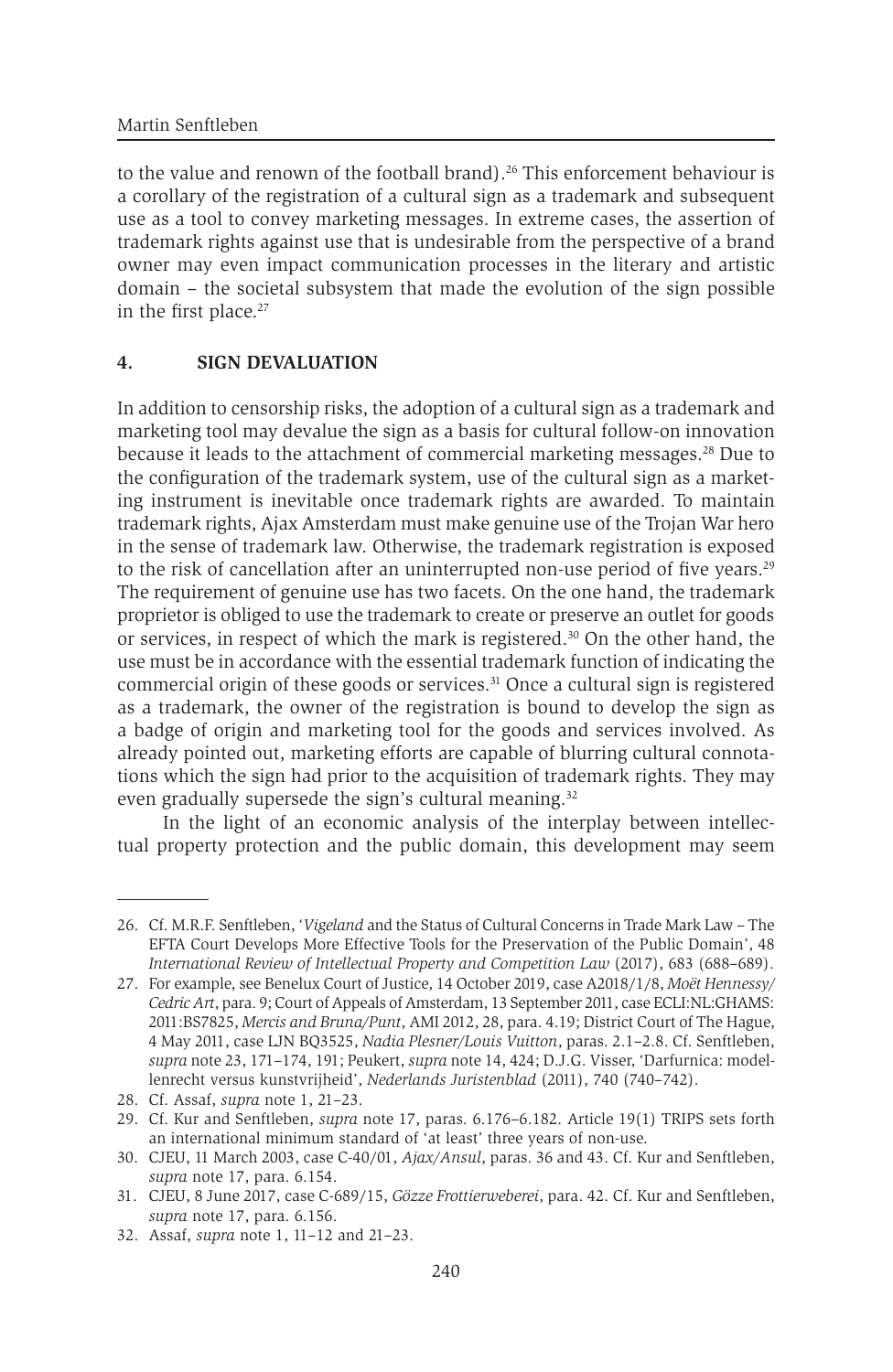to the value and renown of the football brand).<sup>26</sup> This enforcement behaviour is a corollary of the registration of a cultural sign as a trademark and subsequent use as a tool to convey marketing messages. In extreme cases, the assertion of trademark rights against use that is undesirable from the perspective of a brand owner may even impact communication processes in the literary and artistic domain – the societal subsystem that made the evolution of the sign possible in the first place.<sup>27</sup>

#### **4. SIGN DEVALUATION**

In addition to censorship risks, the adoption of a cultural sign as a trademark and marketing tool may devalue the sign as a basis for cultural follow-on innovation because it leads to the attachment of commercial marketing messages.28 Due to the configuration of the trademark system, use of the cultural sign as a marketing instrument is inevitable once trademark rights are awarded. To maintain trademark rights, Ajax Amsterdam must make genuine use of the Trojan War hero in the sense of trademark law. Otherwise, the trademark registration is exposed to the risk of cancellation after an uninterrupted non-use period of five years.<sup>29</sup> The requirement of genuine use has two facets. On the one hand, the trademark proprietor is obliged to use the trademark to create or preserve an outlet for goods or services, in respect of which the mark is registered.30 On the other hand, the use must be in accordance with the essential trademark function of indicating the commercial origin of these goods or services. $31$  Once a cultural sign is registered as a trademark, the owner of the registration is bound to develop the sign as a badge of origin and marketing tool for the goods and services involved. As already pointed out, marketing efforts are capable of blurring cultural connotations which the sign had prior to the acquisition of trademark rights. They may even gradually supersede the sign's cultural meaning.<sup>32</sup>

In the light of an economic analysis of the interplay between intellectual property protection and the public domain, this development may seem

<sup>26.</sup> Cf. M.R.F. Senftleben, '*Vigeland* and the Status of Cultural Concerns in Trade Mark Law – The EFTA Court Develops More Effective Tools for the Preservation of the Public Domain', 48 *International Review of Intellectual Property and Competition Law* (2017), 683 (688–689).

<sup>27.</sup> For example, see Benelux Court of Justice, 14 October 2019, case A2018/1/8, *Moët Hennessy/ Cedric Art*, para. 9; Court of Appeals of Amsterdam, 13 September 2011, case ECLI:NL:GHAMS: 2011:BS7825, *Mercis and Bruna/Punt*, AMI 2012, 28, para. 4.19; District Court of The Hague, 4 May 2011, case LJN BQ3525, *Nadia Plesner/Louis Vuitton*, paras. 2.1–2.8. Cf. Senftleben, *supra* note 23, 171–174, 191; Peukert, *supra* note 14, 424; D.J.G. Visser, 'Darfurnica: modellenrecht versus kunstvrijheid', *Nederlands Juristenblad* (2011), 740 (740–742).

<sup>28.</sup> Cf. Assaf, *supra* note 1, 21–23.

<sup>29.</sup> Cf. Kur and Senftleben, *supra* note 17, paras. 6.176–6.182. Article 19(1) TRIPS sets forth an international minimum standard of 'at least' three years of non-use.

<sup>30.</sup> CJEU, 11 March 2003, case C-40/01, *Ajax/Ansul*, paras. 36 and 43. Cf. Kur and Senftleben, *supra* note 17, para. 6.154.

<sup>31.</sup> CJEU, 8 June 2017, case C-689/15, *Gözze Frottierweberei*, para. 42. Cf. Kur and Senftleben, *supra* note 17, para. 6.156.

<sup>32.</sup> Assaf, *supra* note 1, 11–12 and 21–23.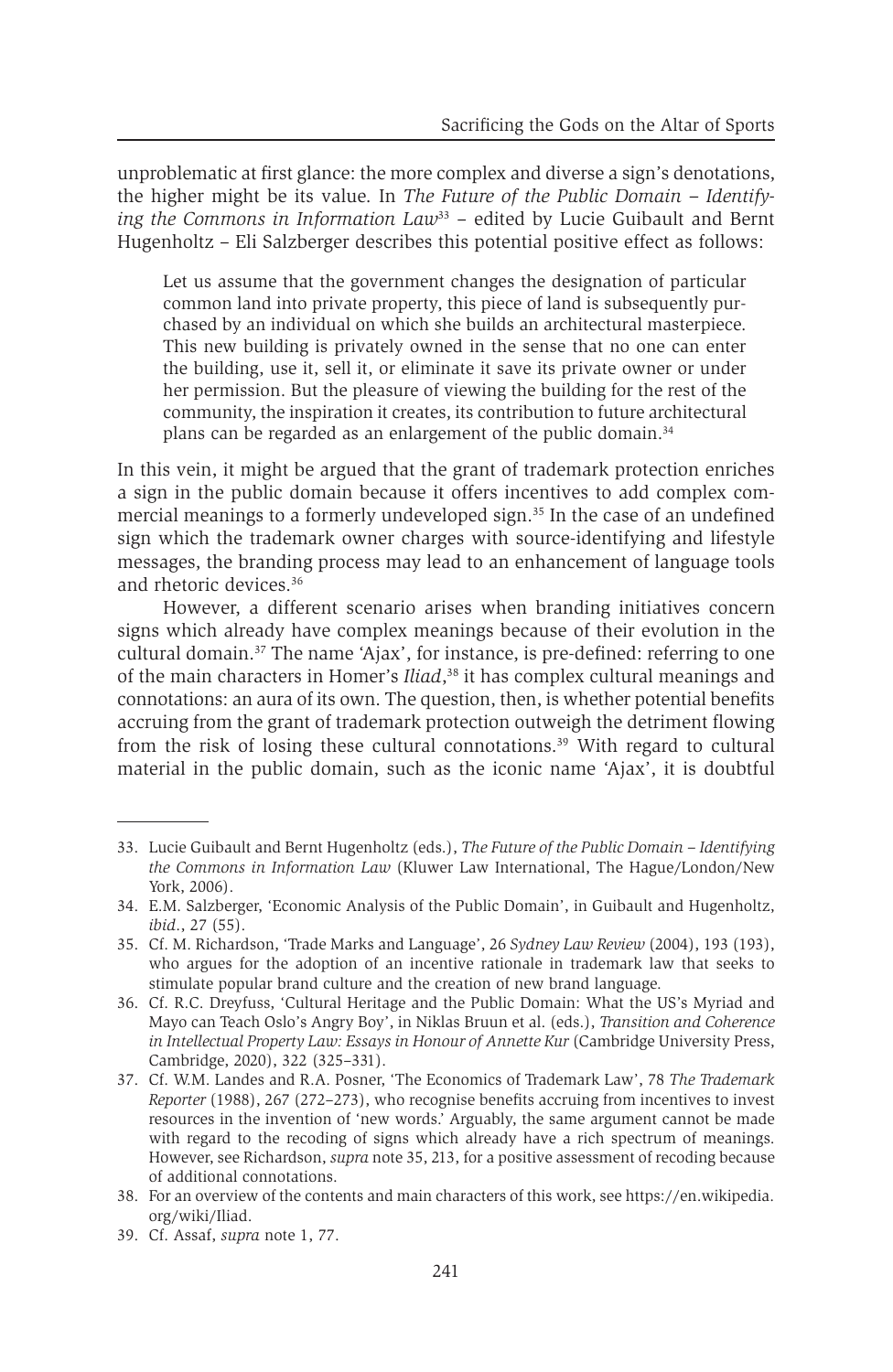unproblematic at first glance: the more complex and diverse a sign's denotations, the higher might be its value. In *The Future of the Public Domain – Identifying the Commons in Information Law*<sup>33</sup> – edited by Lucie Guibault and Bernt Hugenholtz – Eli Salzberger describes this potential positive effect as follows:

Let us assume that the government changes the designation of particular common land into private property, this piece of land is subsequently purchased by an individual on which she builds an architectural masterpiece. This new building is privately owned in the sense that no one can enter the building, use it, sell it, or eliminate it save its private owner or under her permission. But the pleasure of viewing the building for the rest of the community, the inspiration it creates, its contribution to future architectural plans can be regarded as an enlargement of the public domain.<sup>34</sup>

In this vein, it might be argued that the grant of trademark protection enriches a sign in the public domain because it offers incentives to add complex commercial meanings to a formerly undeveloped sign.<sup>35</sup> In the case of an undefined sign which the trademark owner charges with source-identifying and lifestyle messages, the branding process may lead to an enhancement of language tools and rhetoric devices.36

However, a different scenario arises when branding initiatives concern signs which already have complex meanings because of their evolution in the cultural domain.37 The name 'Ajax', for instance, is pre-defined: referring to one of the main characters in Homer's *Iliad*, 38 it has complex cultural meanings and connotations: an aura of its own. The question, then, is whether potential benefits accruing from the grant of trademark protection outweigh the detriment flowing from the risk of losing these cultural connotations.<sup>39</sup> With regard to cultural material in the public domain, such as the iconic name 'Ajax', it is doubtful

<sup>33.</sup> Lucie Guibault and Bernt Hugenholtz (eds.), *The Future of the Public Domain – Identifying the Commons in Information Law* (Kluwer Law International, The Hague/London/New York, 2006).

<sup>34.</sup> E.M. Salzberger, 'Economic Analysis of the Public Domain', in Guibault and Hugenholtz, *ibid*., 27 (55).

<sup>35.</sup> Cf. M. Richardson, 'Trade Marks and Language', 26 *Sydney Law Review* (2004), 193 (193), who argues for the adoption of an incentive rationale in trademark law that seeks to stimulate popular brand culture and the creation of new brand language.

<sup>36.</sup> Cf. R.C. Dreyfuss, 'Cultural Heritage and the Public Domain: What the US's Myriad and Mayo can Teach Oslo's Angry Boy', in Niklas Bruun et al. (eds.), *Transition and Coherence in Intellectual Property Law: Essays in Honour of Annette Kur* (Cambridge University Press, Cambridge, 2020), 322 (325–331).

<sup>37.</sup> Cf. W.M. Landes and R.A. Posner, 'The Economics of Trademark Law', 78 *The Trademark Reporter* (1988), 267 (272–273), who recognise benefits accruing from incentives to invest resources in the invention of 'new words.' Arguably, the same argument cannot be made with regard to the recoding of signs which already have a rich spectrum of meanings. However, see Richardson, *supra* note 35, 213, for a positive assessment of recoding because of additional connotations.

<sup>38.</sup> For an overview of the contents and main characters of this work, see https://en.wikipedia. org/wiki/Iliad.

<sup>39.</sup> Cf. Assaf, *supra* note 1, 77.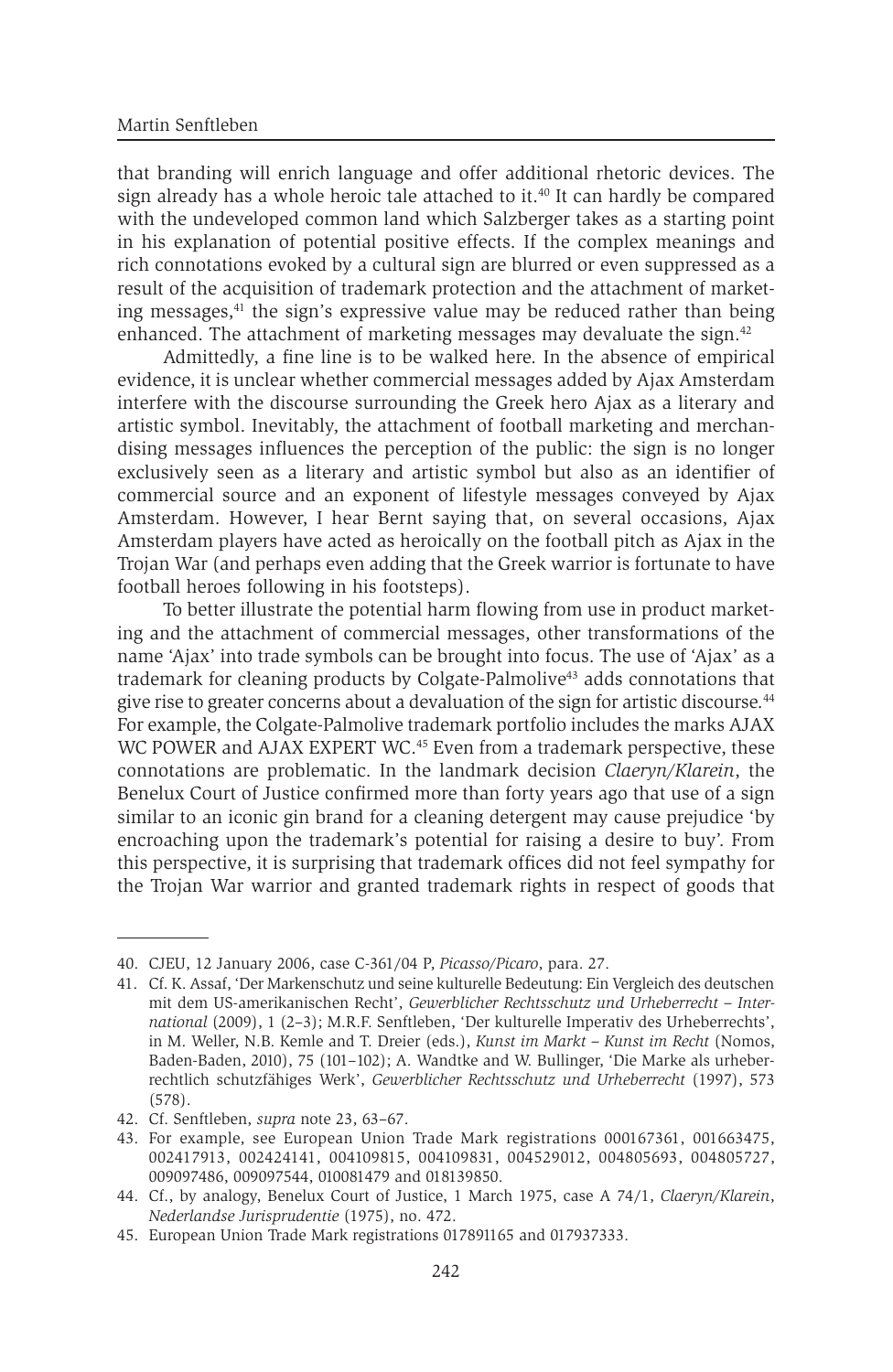that branding will enrich language and offer additional rhetoric devices. The sign already has a whole heroic tale attached to it.<sup>40</sup> It can hardly be compared with the undeveloped common land which Salzberger takes as a starting point in his explanation of potential positive effects. If the complex meanings and rich connotations evoked by a cultural sign are blurred or even suppressed as a result of the acquisition of trademark protection and the attachment of marketing messages,<sup>41</sup> the sign's expressive value may be reduced rather than being enhanced. The attachment of marketing messages may devaluate the sign.<sup>42</sup>

Admittedly, a fine line is to be walked here. In the absence of empirical evidence, it is unclear whether commercial messages added by Ajax Amsterdam interfere with the discourse surrounding the Greek hero Ajax as a literary and artistic symbol. Inevitably, the attachment of football marketing and merchandising messages influences the perception of the public: the sign is no longer exclusively seen as a literary and artistic symbol but also as an identifier of commercial source and an exponent of lifestyle messages conveyed by Ajax Amsterdam. However, I hear Bernt saying that, on several occasions, Ajax Amsterdam players have acted as heroically on the football pitch as Ajax in the Trojan War (and perhaps even adding that the Greek warrior is fortunate to have football heroes following in his footsteps).

To better illustrate the potential harm flowing from use in product marketing and the attachment of commercial messages, other transformations of the name 'Ajax' into trade symbols can be brought into focus. The use of 'Ajax' as a trademark for cleaning products by Colgate-Palmolive<sup>43</sup> adds connotations that give rise to greater concerns about a devaluation of the sign for artistic discourse.<sup>44</sup> For example, the Colgate-Palmolive trademark portfolio includes the marks AJAX WC POWER and AJAX EXPERT WC.<sup>45</sup> Even from a trademark perspective, these connotations are problematic. In the landmark decision *Claeryn/Klarein*, the Benelux Court of Justice confirmed more than forty years ago that use of a sign similar to an iconic gin brand for a cleaning detergent may cause prejudice 'by encroaching upon the trademark's potential for raising a desire to buy'. From this perspective, it is surprising that trademark offices did not feel sympathy for the Trojan War warrior and granted trademark rights in respect of goods that

<sup>40.</sup> CJEU, 12 January 2006, case C-361/04 P, *Picasso/Picaro*, para. 27.

<sup>41.</sup> Cf. K. Assaf, 'Der Markenschutz und seine kulturelle Bedeutung: Ein Vergleich des deutschen mit dem US-amerikanischen Recht', *Gewerblicher Rechtsschutz und Urheberrecht – International* (2009), 1 (2–3); M.R.F. Senftleben, 'Der kulturelle Imperativ des Urheberrechts', in M. Weller, N.B. Kemle and T. Dreier (eds.), *Kunst im Markt – Kunst im Recht* (Nomos, Baden-Baden, 2010), 75 (101–102); A. Wandtke and W. Bullinger, 'Die Marke als urheberrechtlich schutzfähiges Werk', *Gewerblicher Rechtsschutz und Urheberrecht* (1997), 573 (578).

<sup>42.</sup> Cf. Senftleben, *supra* note 23, 63–67.

<sup>43.</sup> For example, see European Union Trade Mark registrations 000167361, 001663475, 002417913, 002424141, 004109815, 004109831, 004529012, 004805693, 004805727, 009097486, 009097544, 010081479 and 018139850.

<sup>44.</sup> Cf., by analogy, Benelux Court of Justice, 1 March 1975, case A 74/1, *Claeryn/Klarein*, *Nederlandse Jurisprudentie* (1975), no. 472.

<sup>45.</sup> European Union Trade Mark registrations 017891165 and 017937333.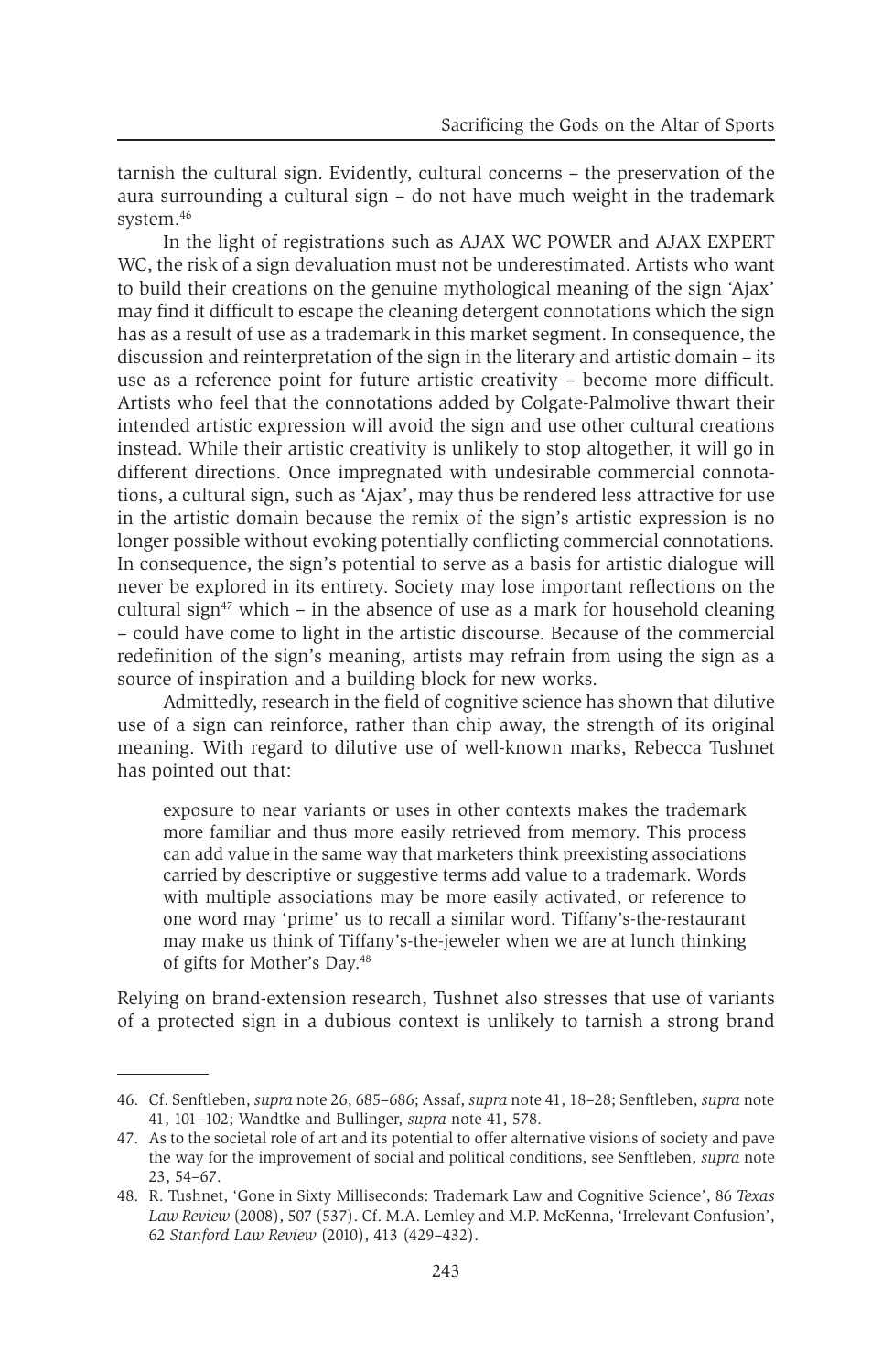tarnish the cultural sign. Evidently, cultural concerns – the preservation of the aura surrounding a cultural sign – do not have much weight in the trademark system.46

In the light of registrations such as AJAX WC POWER and AJAX EXPERT WC, the risk of a sign devaluation must not be underestimated. Artists who want to build their creations on the genuine mythological meaning of the sign 'Ajax' may find it difficult to escape the cleaning detergent connotations which the sign has as a result of use as a trademark in this market segment. In consequence, the discussion and reinterpretation of the sign in the literary and artistic domain – its use as a reference point for future artistic creativity – become more difficult. Artists who feel that the connotations added by Colgate-Palmolive thwart their intended artistic expression will avoid the sign and use other cultural creations instead. While their artistic creativity is unlikely to stop altogether, it will go in different directions. Once impregnated with undesirable commercial connotations, a cultural sign, such as 'Ajax', may thus be rendered less attractive for use in the artistic domain because the remix of the sign's artistic expression is no longer possible without evoking potentially conflicting commercial connotations. In consequence, the sign's potential to serve as a basis for artistic dialogue will never be explored in its entirety. Society may lose important reflections on the cultural sign<sup>47</sup> which – in the absence of use as a mark for household cleaning – could have come to light in the artistic discourse. Because of the commercial redefinition of the sign's meaning, artists may refrain from using the sign as a source of inspiration and a building block for new works.

Admittedly, research in the field of cognitive science has shown that dilutive use of a sign can reinforce, rather than chip away, the strength of its original meaning. With regard to dilutive use of well-known marks, Rebecca Tushnet has pointed out that:

exposure to near variants or uses in other contexts makes the trademark more familiar and thus more easily retrieved from memory. This process can add value in the same way that marketers think preexisting associations carried by descriptive or suggestive terms add value to a trademark. Words with multiple associations may be more easily activated, or reference to one word may 'prime' us to recall a similar word. Tiffany's-the-restaurant may make us think of Tiffany's-the-jeweler when we are at lunch thinking of gifts for Mother's Day.48

Relying on brand-extension research, Tushnet also stresses that use of variants of a protected sign in a dubious context is unlikely to tarnish a strong brand

<sup>46.</sup> Cf. Senftleben, *supra* note 26, 685–686; Assaf, *supra* note 41, 18–28; Senftleben, *supra* note 41, 101–102; Wandtke and Bullinger, *supra* note 41, 578.

<sup>47.</sup> As to the societal role of art and its potential to offer alternative visions of society and pave the way for the improvement of social and political conditions, see Senftleben, *supra* note 23, 54–67.

<sup>48.</sup> R. Tushnet, 'Gone in Sixty Milliseconds: Trademark Law and Cognitive Science', 86 *Texas Law Review* (2008), 507 (537). Cf. M.A. Lemley and M.P. McKenna, 'Irrelevant Confusion', 62 *Stanford Law Review* (2010), 413 (429–432).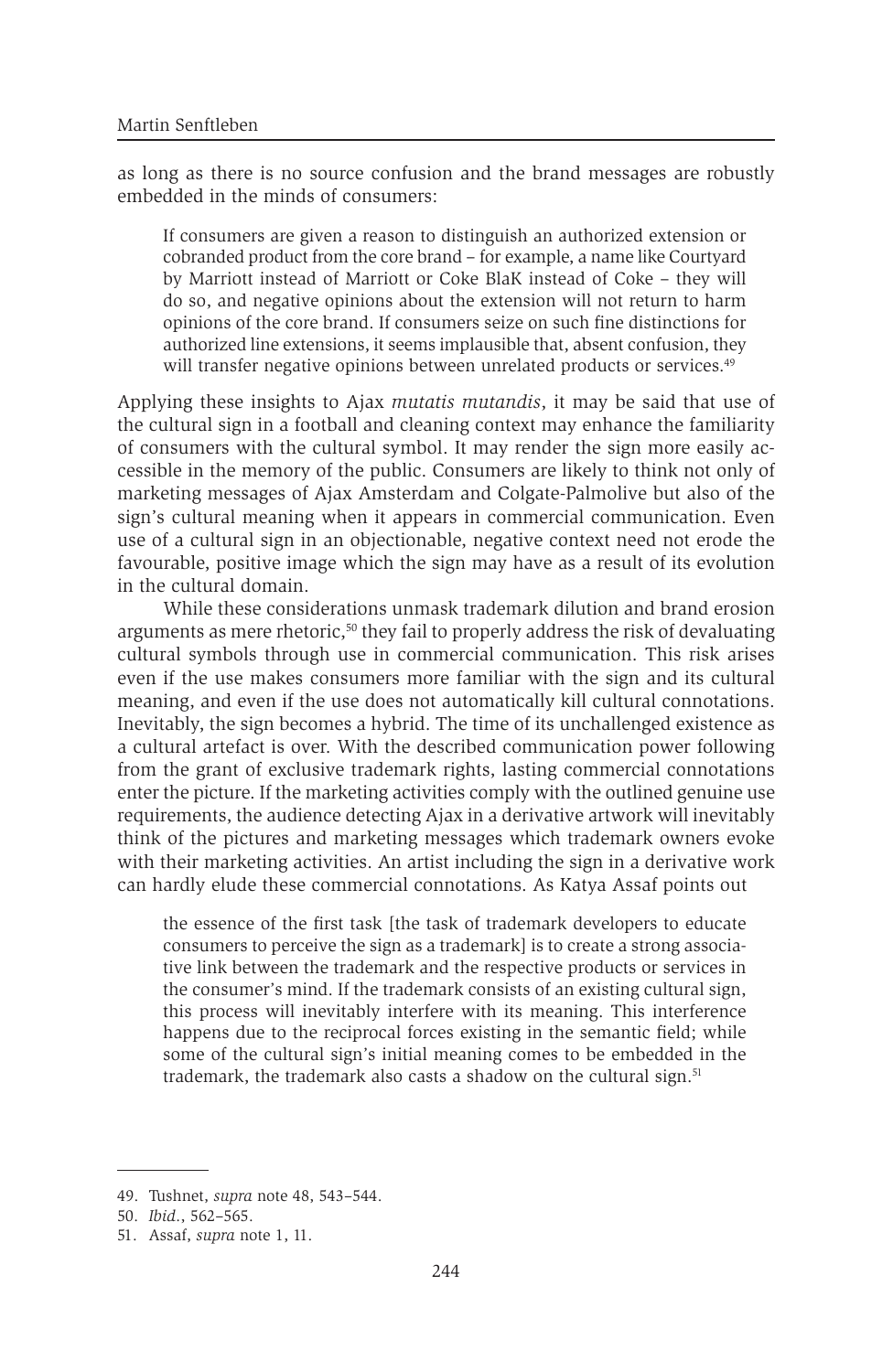as long as there is no source confusion and the brand messages are robustly embedded in the minds of consumers:

If consumers are given a reason to distinguish an authorized extension or cobranded product from the core brand – for example, a name like Courtyard by Marriott instead of Marriott or Coke BlaK instead of Coke – they will do so, and negative opinions about the extension will not return to harm opinions of the core brand. If consumers seize on such fine distinctions for authorized line extensions, it seems implausible that, absent confusion, they will transfer negative opinions between unrelated products or services.<sup>49</sup>

Applying these insights to Ajax *mutatis mutandis*, it may be said that use of the cultural sign in a football and cleaning context may enhance the familiarity of consumers with the cultural symbol. It may render the sign more easily accessible in the memory of the public. Consumers are likely to think not only of marketing messages of Ajax Amsterdam and Colgate-Palmolive but also of the sign's cultural meaning when it appears in commercial communication. Even use of a cultural sign in an objectionable, negative context need not erode the favourable, positive image which the sign may have as a result of its evolution in the cultural domain.

While these considerations unmask trademark dilution and brand erosion arguments as mere rhetoric,<sup>50</sup> they fail to properly address the risk of devaluating cultural symbols through use in commercial communication. This risk arises even if the use makes consumers more familiar with the sign and its cultural meaning, and even if the use does not automatically kill cultural connotations. Inevitably, the sign becomes a hybrid. The time of its unchallenged existence as a cultural artefact is over. With the described communication power following from the grant of exclusive trademark rights, lasting commercial connotations enter the picture. If the marketing activities comply with the outlined genuine use requirements, the audience detecting Ajax in a derivative artwork will inevitably think of the pictures and marketing messages which trademark owners evoke with their marketing activities. An artist including the sign in a derivative work can hardly elude these commercial connotations. As Katya Assaf points out

the essence of the first task [the task of trademark developers to educate consumers to perceive the sign as a trademark] is to create a strong associative link between the trademark and the respective products or services in the consumer's mind. If the trademark consists of an existing cultural sign, this process will inevitably interfere with its meaning. This interference happens due to the reciprocal forces existing in the semantic field; while some of the cultural sign's initial meaning comes to be embedded in the trademark, the trademark also casts a shadow on the cultural sign.<sup>51</sup>

<sup>49.</sup> Tushnet, *supra* note 48, 543–544.

<sup>50.</sup> *Ibid*., 562–565.

<sup>51.</sup> Assaf, *supra* note 1, 11.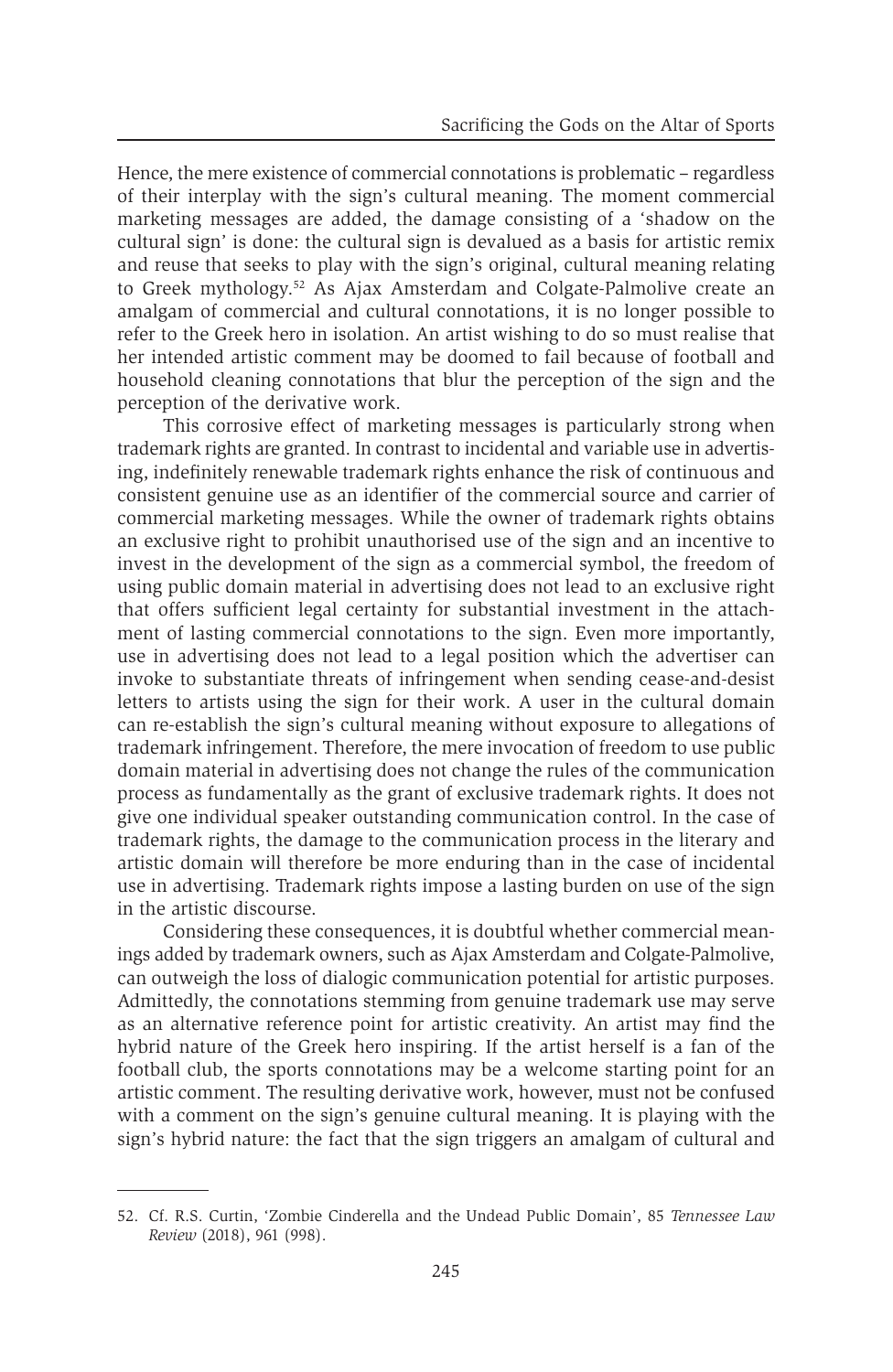Hence, the mere existence of commercial connotations is problematic – regardless of their interplay with the sign's cultural meaning. The moment commercial marketing messages are added, the damage consisting of a 'shadow on the cultural sign' is done: the cultural sign is devalued as a basis for artistic remix and reuse that seeks to play with the sign's original, cultural meaning relating to Greek mythology.52 As Ajax Amsterdam and Colgate-Palmolive create an amalgam of commercial and cultural connotations, it is no longer possible to refer to the Greek hero in isolation. An artist wishing to do so must realise that her intended artistic comment may be doomed to fail because of football and household cleaning connotations that blur the perception of the sign and the perception of the derivative work.

This corrosive effect of marketing messages is particularly strong when trademark rights are granted. In contrast to incidental and variable use in advertising, indefinitely renewable trademark rights enhance the risk of continuous and consistent genuine use as an identifier of the commercial source and carrier of commercial marketing messages. While the owner of trademark rights obtains an exclusive right to prohibit unauthorised use of the sign and an incentive to invest in the development of the sign as a commercial symbol, the freedom of using public domain material in advertising does not lead to an exclusive right that offers sufficient legal certainty for substantial investment in the attachment of lasting commercial connotations to the sign. Even more importantly, use in advertising does not lead to a legal position which the advertiser can invoke to substantiate threats of infringement when sending cease-and-desist letters to artists using the sign for their work. A user in the cultural domain can re-establish the sign's cultural meaning without exposure to allegations of trademark infringement. Therefore, the mere invocation of freedom to use public domain material in advertising does not change the rules of the communication process as fundamentally as the grant of exclusive trademark rights. It does not give one individual speaker outstanding communication control. In the case of trademark rights, the damage to the communication process in the literary and artistic domain will therefore be more enduring than in the case of incidental use in advertising. Trademark rights impose a lasting burden on use of the sign in the artistic discourse.

Considering these consequences, it is doubtful whether commercial meanings added by trademark owners, such as Ajax Amsterdam and Colgate-Palmolive, can outweigh the loss of dialogic communication potential for artistic purposes. Admittedly, the connotations stemming from genuine trademark use may serve as an alternative reference point for artistic creativity. An artist may find the hybrid nature of the Greek hero inspiring. If the artist herself is a fan of the football club, the sports connotations may be a welcome starting point for an artistic comment. The resulting derivative work, however, must not be confused with a comment on the sign's genuine cultural meaning. It is playing with the sign's hybrid nature: the fact that the sign triggers an amalgam of cultural and

<sup>52.</sup> Cf. R.S. Curtin, 'Zombie Cinderella and the Undead Public Domain', 85 *Tennessee Law Review* (2018), 961 (998).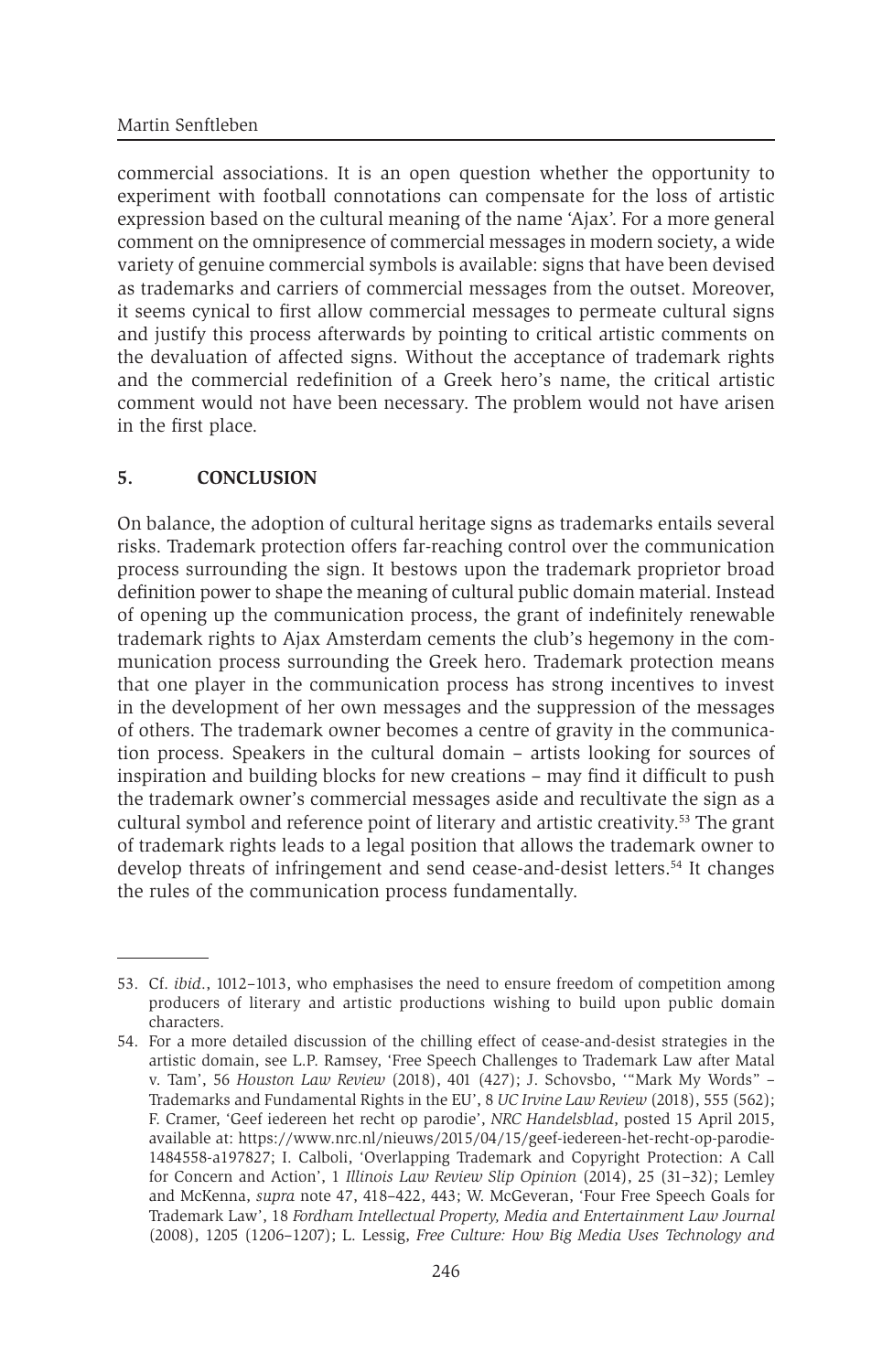commercial associations. It is an open question whether the opportunity to experiment with football connotations can compensate for the loss of artistic expression based on the cultural meaning of the name 'Ajax'. For a more general comment on the omnipresence of commercial messages in modern society, a wide variety of genuine commercial symbols is available: signs that have been devised as trademarks and carriers of commercial messages from the outset. Moreover, it seems cynical to first allow commercial messages to permeate cultural signs and justify this process afterwards by pointing to critical artistic comments on the devaluation of affected signs. Without the acceptance of trademark rights and the commercial redefinition of a Greek hero's name, the critical artistic comment would not have been necessary. The problem would not have arisen in the first place.

#### **5. CONCLUSION**

On balance, the adoption of cultural heritage signs as trademarks entails several risks. Trademark protection offers far-reaching control over the communication process surrounding the sign. It bestows upon the trademark proprietor broad definition power to shape the meaning of cultural public domain material. Instead of opening up the communication process, the grant of indefinitely renewable trademark rights to Ajax Amsterdam cements the club's hegemony in the communication process surrounding the Greek hero. Trademark protection means that one player in the communication process has strong incentives to invest in the development of her own messages and the suppression of the messages of others. The trademark owner becomes a centre of gravity in the communication process. Speakers in the cultural domain – artists looking for sources of inspiration and building blocks for new creations – may find it difficult to push the trademark owner's commercial messages aside and recultivate the sign as a cultural symbol and reference point of literary and artistic creativity.53 The grant of trademark rights leads to a legal position that allows the trademark owner to develop threats of infringement and send cease-and-desist letters.54 It changes the rules of the communication process fundamentally.

<sup>53.</sup> Cf. *ibid*., 1012–1013, who emphasises the need to ensure freedom of competition among producers of literary and artistic productions wishing to build upon public domain characters.

<sup>54.</sup> For a more detailed discussion of the chilling effect of cease-and-desist strategies in the artistic domain, see L.P. Ramsey, 'Free Speech Challenges to Trademark Law after Matal v. Tam', 56 *Houston Law Review* (2018), 401 (427); J. Schovsbo, '"Mark My Words" – Trademarks and Fundamental Rights in the EU', 8 *UC Irvine Law Review* (2018), 555 (562); F. Cramer, 'Geef iedereen het recht op parodie', *NRC Handelsblad*, posted 15 April 2015, available at: https://www.nrc.nl/nieuws/2015/04/15/geef-iedereen-het-recht-op-parodie-1484558-a197827; I. Calboli, 'Overlapping Trademark and Copyright Protection: A Call for Concern and Action', 1 *Illinois Law Review Slip Opinion* (2014), 25 (31–32); Lemley and McKenna, *supra* note 47, 418–422, 443; W. McGeveran, 'Four Free Speech Goals for Trademark Law', 18 *Fordham Intellectual Property, Media and Entertainment Law Journal* (2008), 1205 (1206–1207); L. Lessig, *Free Culture: How Big Media Uses Technology and*